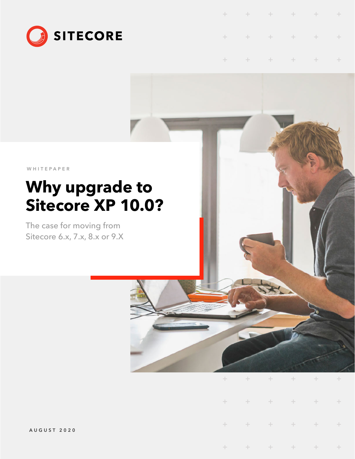

|  |  | + + + + + + |  |
|--|--|-------------|--|
|  |  | + + + + + + |  |

 $\pm$  $+ + + + +$  $+$   $+$  $\ddot{}$ 

WHITEPAPER

# **Why upgrade to Sitecore XP 10.0?**

The case for moving from Sitecore 6.x, 7.x, 8.x or 9.X

| . |                                                  |  |  |
|---|--------------------------------------------------|--|--|
|   | + + + + + +                                      |  |  |
|   | $+ \qquad + \qquad + \qquad + \qquad + \qquad +$ |  |  |
| . |                                                  |  |  |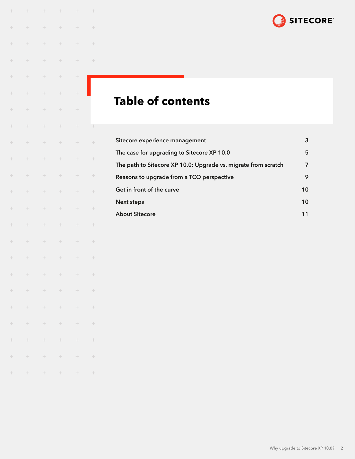

## **Table of contents**

 $\pm$ 

 $\pm$ 

 $\pm$ 

 $\! +$ 

 $\!+$ 

 $\!+$ 

 $\pm$ 

 $\ddot{}$ 

 $\!+$ 

÷

 $\ddot{}$ 

 $\pm$ 

 $\!+$ 

 $\ddot{}$ 

 $\pm$ 

 $\! +$ 

 $^{+}$ 

 $\pm$ 

 $\!+$ 

 $\pm$ 

 $\pm$ 

 $\pm$ 

 $\div$ 

 $\!+$ 

÷

 $\div$ 

 $\! +$ 

÷

 $\div$ 

 $\left\langle \cdot \right\rangle$ 

 $\left\vert \cdot\right\vert$ 

 $\pm$ 

 $\div$ 

 $\div$ 

 $\div$ 

 $\div$ 

÷

 $\div$ 

 $\div$ 

 $\pm$ 

 $\div$ 

÷

 $\pm$ 

÷

 $\div$ 

 $\pm$ 

 $\!+$ 

 $\div$ 

 $\div$ 

 $\overset{\perp}{+}$ 

 $\pm$ 

 $\pm$ 

 $\pm$ 

 $\!+\!$ 

 $\! +$ 

 $\dot{+}$ 

 $\overset{\perp}{\leftarrow}$ 

 $\div$ 

 $\! +$ 

 $\pm$ 

 $\div$ 

 $\div$ 

 $\pm$ 

 $\div$ 

 $\div$ 

 $\! +$ 

 $\div$ 

 $\div$ 

 $\,+\,$ 

 $\rightarrow$ 

 $\div$ 

 $\div$ 

 $\overset{\perp}{+}$ 

 $\div$ 

 $\div$ 

 $\rightarrow$ 

 $\div$ 

 $\div$ 

 $\rightarrow$ 

 $\pm$ 

 $\rightarrow$ 

 $\div$ 

 $\div$ 

 $\div$ 

 $\div$ 

 $\pm$ 

 $\div$ 

 $\div$ 

 $\div$ 

 $\div$ 

 $\pm$ 

 $\rightarrow$ 

 $\overset{\perp}{+}$ 

 $\pm$ 

 $\div$ 

 $\pm$ 

 $\pm$ 

 $\rightarrow$ 

 $\pm$ 

 $\div$ 

 $\div$ 

 $\div$ 

 $\pm$ 

 $\div$ 

 $\left\vert \cdot\right\vert$ 

 $\pm$ 

 $\div$ 

 $\pm$ 

 $\pm$ 

 $\pm$ 

 $\pm$ 

 $\pm$ 

 $\pm$ 

 $\div$ 

 $\rightarrow$ 

 $\div$ 

 $\ddot{\pm}$ 

 $\pm$ 

 $\div$ 

 $\rightarrow$ 

 $\div$ 

 $\rightarrow$ 

 $\rightarrow$ 

 $\frac{1}{2}$ 

 $\rightarrow$ 

 $\rightarrow$ 

 $\pm$ 

 $\div$ 

 $\div$ 

 $\rightarrow$ 

 $\div$ 

 $\div$ 

 $\rightarrow$ 

| Sitecore experience management                                 | 3  |
|----------------------------------------------------------------|----|
| The case for upgrading to Sitecore XP 10.0                     |    |
| The path to Sitecore XP 10.0: Upgrade vs. migrate from scratch | 7  |
| Reasons to upgrade from a TCO perspective                      | 9  |
| Get in front of the curve                                      | 10 |
| Next steps                                                     | 10 |
| <b>About Sitecore</b>                                          | 11 |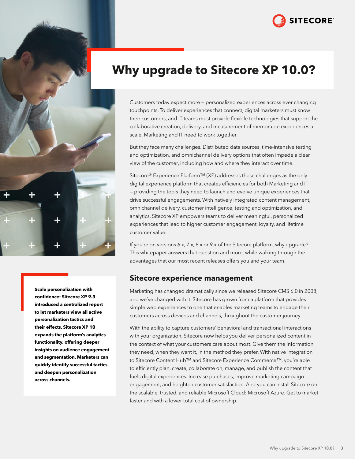

<span id="page-2-0"></span>

**Scale personalization with confidence: Sitecore XP 9.3 introduced a centralized report to let marketers view all active personalization tactics and their effects. Sitecore XP 10 expands the platform's analytics functionality, offering deeper insights on audience engagement and segmentation. Marketers can quickly identify successful tactics and deepen personalization across channels.**

## **Why upgrade to Sitecore XP 10.0?**

Customers today expect more — personalized experiences across ever changing touchpoints. To deliver experiences that connect, digital marketers must know their customers, and IT teams must provide flexible technologies that support the collaborative creation, delivery, and measurement of memorable experiences at scale. Marketing and IT need to work together.

But they face many challenges. Distributed data sources, time-intensive testing and optimization, and omnichannel delivery options that often impede a clear view of the customer, including how and where they interact over time.

Sitecore® Experience Platform™ (XP) addresses these challenges as the only digital experience platform that creates efficiencies for both Marketing and IT — providing the tools they need to launch and evolve unique experiences that drive successful engagements. With natively integrated content management, omnichannel delivery, customer intelligence, testing and optimization, and analytics, Sitecore XP empowers teams to deliver meaningful, personalized experiences that lead to higher customer engagement, loyalty, and lifetime customer value.

If you're on versions 6.x, 7.x, 8.x or 9.x of the Sitecore platform, why upgrade? This whitepaper answers that question and more, while walking through the advantages that our most recent releases offers you and your team.

## **Sitecore experience management**

Marketing has changed dramatically since we released Sitecore CMS 6.0 in 2008, and we've changed with it. Sitecore has grown from a platform that provides simple web experiences to one that enables marketing teams to engage their customers across devices and channels, throughout the customer journey.

With the ability to capture customers' behavioral and transactional interactions with your organization, Sitecore now helps you deliver personalized content in the context of what your customers care about most. Give them the information they need, when they want it, in the method they prefer. With native integration to Sitecore Content Hub™ and Sitecore Experience Commerce™, you're able to efficiently plan, create, collaborate on, manage, and publish the content that fuels digital experiences. Increase purchases, improve marketing campaign engagement, and heighten customer satisfaction. And you can install Sitecore on the scalable, trusted, and reliable Microsoft Cloud: Microsoft Azure. Get to market faster and with a lower total cost of ownership.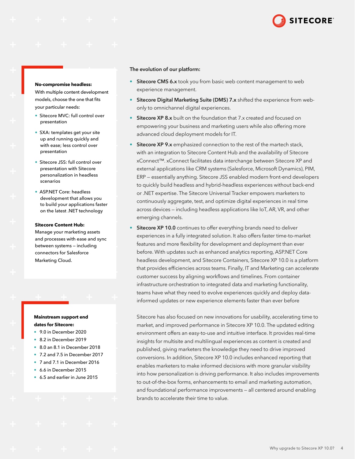

#### **No-compromise headless:**

With multiple content development models, choose the one that fits your particular needs:

- Sitecore MVC: full control over presentation
- SXA: templates get your site up and running quickly and with ease; less control over presentation
- Sitecore JSS: full control over presentation with Sitecore personalization in headless scenarios
- ASP.NET Core: headless development that allows you to build your applications faster on the latest .NET technology

#### **Sitecore Content Hub:**

Manage your marketing assets and processes with ease and sync between systems — including connectors for Salesforce Marketing Cloud.

#### **Mainstream support end dates for Sitecore:**

- 9.0 in December 2020
- 8.2 in December 2019
- 8.0 an 8.1 in December 2018
- 7.2 and 7.5 in December 2017
- 7 and 7.1 in December 2016
- 6.6 in December 2015
- 6.5 and earlier in June 2015

#### The evolution of our platform:

- Sitecore CMS 6.x took you from basic web content management to web experience management.
- Sitecore Digital Marketing Suite (DMS) 7.x shifted the experience from webonly to omnichannel digital experiences.
- Sitecore XP 8.x built on the foundation that 7.x created and focused on empowering your business and marketing users while also offering more advanced cloud deployment models for IT.
- Sitecore XP 9.x emphasized connection to the rest of the martech stack, with an integration to Sitecore Content Hub and the availability of Sitecore xConnect™. xConnect facilitates data interchange between Sitecore XP and external applications like CRM systems (Salesforce, Microsoft Dynamics), PIM, ERP — essentially anything. Sitecore JSS enabled modern front-end developers to quickly build headless and hybrid-headless experiences without back-end or .NET expertise. The Sitecore Universal Tracker empowers marketers to continuously aggregate, test, and optimize digital experiences in real time across devices — including headless applications like IoT, AR, VR, and other emerging channels.
- **Sitecore XP 10.0** continues to offer everything brands need to deliver experiences in a fully integrated solution. It also offers faster time-to-market features and more flexibility for development and deployment than ever before. With updates such as enhanced analytics reporting, ASP.NET Core headless development, and Sitecore Containers, Sitecore XP 10.0 is a platform that provides efficiencies across teams. Finally, IT and Marketing can accelerate customer success by aligning workflows and timelines. From container infrastructure orchestration to integrated data and marketing functionality, teams have what they need to evolve experiences quickly and deploy datainformed updates or new experience elements faster than ever before

Sitecore has also focused on new innovations for usability, accelerating time to market, and improved performance in Sitecore XP 10.0. The updated editing environment offers an easy-to-use and intuitive interface. It provides real-time insights for multisite and multilingual experiences as content is created and published, giving marketers the knowledge they need to drive improved conversions. In addition, Sitecore XP 10.0 includes enhanced reporting that enables marketers to make informed decisions with more granular visibility into how personalization is driving performance. It also includes improvements to out-of-the-box forms, enhancements to email and marketing automation, and foundational performance improvements — all centered around enabling brands to accelerate their time to value.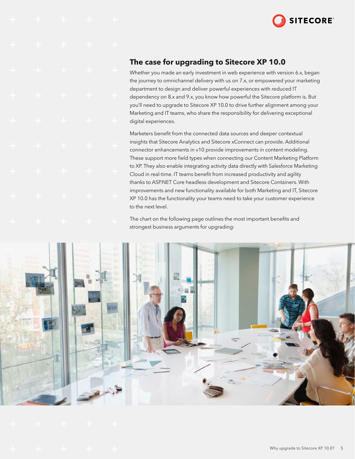

## <span id="page-4-0"></span>**The case for upgrading to Sitecore XP 10.0**

Whether you made an early investment in web experience with version 6.x, began the journey to omnichannel delivery with us on 7.x, or empowered your marketing department to design and deliver powerful experiences with reduced IT dependency on 8.x and 9.x, you know how powerful the Sitecore platform is. But you'll need to upgrade to Sitecore XP 10.0 to drive further alignment among your Marketing and IT teams, who share the responsibility for delivering exceptional digital experiences.

Marketers benefit from the connected data sources and deeper contextual insights that Sitecore Analytics and Sitecore xConnect can provide. Additional connector enhancements in v10 provide improvements in content modeling. These support more field types when connecting our Content Marketing Platform to XP. They also enable integrating activity data directly with Salesforce Marketing Cloud in real-time. IT teams benefit from increased productivity and agility thanks to ASP.NET Core headless development and Sitecore Containers. With improvements and new functionality available for both Marketing and IT, Sitecore XP 10.0 has the functionality your teams need to take your customer experience to the next level.

The chart on the following page outlines the most important benefits and strongest business arguments for upgrading:

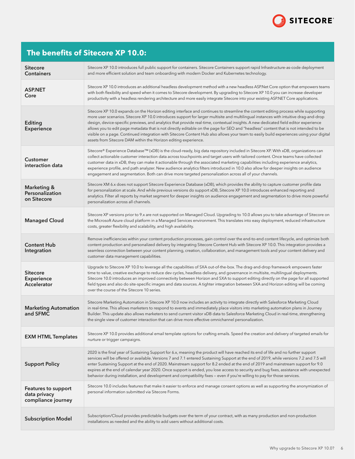

## **The benefits of Sitecore XP 10.0:**

| <b>Sitecore</b><br><b>Containers</b>                      | Sitecore XP 10.0 introduces full public support for containers. Sitecore Containers support rapid Infrastructure-as-code deployment<br>and more efficient solution and team onboarding with modern Docker and Kubernetes technology.                                                                                                                                                                                                                                                                                                                                                                                                                                                                                                                                      |
|-----------------------------------------------------------|---------------------------------------------------------------------------------------------------------------------------------------------------------------------------------------------------------------------------------------------------------------------------------------------------------------------------------------------------------------------------------------------------------------------------------------------------------------------------------------------------------------------------------------------------------------------------------------------------------------------------------------------------------------------------------------------------------------------------------------------------------------------------|
| <b>ASP.NET</b><br>Core                                    | Sitecore XP 10.0 introduces an additional headless development method with a new headless ASP.Net Core option that empowers teams<br>with both flexibility and speed when it comes to Sitecore development. By upgrading to Sitecore XP 10.0 you can increase developer<br>productivity with a headless rendering architecture and more easily integrate Sitecore into your existing ASP.NET Core applications.                                                                                                                                                                                                                                                                                                                                                           |
| Editing<br><b>Experience</b>                              | Sitecore XP 10.0 expands on the Horizon editing interface and continues to streamline the content editing process while supporting<br>more user scenarios. Sitecore XP 10.0 introduces support for larger multisite and multilingual instances with intuitive drag-and-drop<br>design, device-specific previews, and analytics that provide real-time, contextual insights. A new dedicated field editor experience<br>allows you to edit page metadata that is not directly editable on the page for SEO and "headless" content that is not intended to be<br>visible on a page. Continued integration with Sitecore Content Hub also allows your team to easily build experiences using your digital<br>assets from Sitecore DAM within the Horizon editing experience. |
| <b>Customer</b><br>interaction data                       | Sitecore® Experience Database™ (xDB) is the cloud-ready, big data repository included in Sitecore XP. With xDB, organizations can<br>collect actionable customer interaction data across touchpoints and target users with tailored content. Once teams have collected<br>customer data in xDB, they can make it actionable through the associated marketing capabilities including experience analytics,<br>experience profile, and path analyzer. New audience analytics filters introduced in 10.0 also allow for deeper insights on audience<br>engagement and segmentation. Both can drive more targeted personalization across all of your channels.                                                                                                                |
| <b>Marketing &amp;</b><br>Personalization<br>on Sitecore  | Sitecore XM 6.x does not support Sitecore Experience Database (xDB), which provides the ability to capture customer profile data<br>for personalization at scale. And while previous versions do support xDB, Sitecore XP 10.0 introduces enhanced reporting and<br>analytics. Filter all reports by market segment for deeper insights on audience engagement and segmentation to drive more powerful<br>personalization across all channels.                                                                                                                                                                                                                                                                                                                            |
| <b>Managed Cloud</b>                                      | Sitecore XP versions prior to 9.x are not supported on Managed Cloud. Upgrading to 10.0 allows you to take advantage of Sitecore on<br>the Microsoft Azure cloud platform in a Managed Services environment. This translates into easy deployment, reduced infrastructure<br>costs, greater flexibility and scalability, and high availability.                                                                                                                                                                                                                                                                                                                                                                                                                           |
| <b>Content Hub</b><br>Integration                         | Remove inefficiencies within your content production processes, gain control over the end-to-end content lifecycle, and optimize both<br>content production and personalized delivery by integrating Sitecore Content Hub with Sitecore XP 10.0. This integration provides a<br>seamless connection between your content planning, creation, collaboration, and management tools and your content delivery and<br>customer data management capabilities.                                                                                                                                                                                                                                                                                                                  |
| <b>Sitecore</b><br><b>Experience</b><br>Accelerator       | Upgrade to Sitecore XP 10.0 to leverage all the capabilities of SXA out-of-the-box. The drag-and-drop framework empowers faster<br>time to value, creative exchange to reduce dev cycles, headless delivery, and governance in multisite, multilingual deployments.<br>Sitecore 10.0 introduces an improved connectivity between Horizon and SXA to support editing directly on the page for all supported<br>field types and also do site-specific images and data sources. A tighter integration between SXA and Horizon editing will be coming<br>over the course of the Sitecore 10 series.                                                                                                                                                                           |
| <b>Marketing Automation</b><br>and SFMC                   | Sitecore Marketing Automation in Sitecore XP 10.0 now includes an activity to integrate directly with Salesforce Marketing Cloud<br>in real-time. This allows marketers to respond to events and immediately place visitors into marketing automation plans in Journey<br>Builder. This update also allows marketers to send current visitor xDB data to Salesforce Marketing Cloud in real-time, strengthening<br>the single view of customer interaction that can drive more effective omnichannel personalization.                                                                                                                                                                                                                                                     |
| <b>EXM HTML Templates</b>                                 | Sitecore XP 10.0 provides additional email template options for crafting emails. Speed the creation and delivery of targeted emails for<br>nurture or trigger campaigns.                                                                                                                                                                                                                                                                                                                                                                                                                                                                                                                                                                                                  |
| <b>Support Policy</b>                                     | 2020 is the final year of Sustaining Support for 6.x, meaning the product will have reached its end of life and no further support<br>services will be offered or available. Versions 7 and 7.1 entered Sustaining Support at the end of 2019, while versions 7.2 and 7.5 will<br>enter Sustaining Support at the end of 2020. Mainstream support for 8.2 ended at the end of 2019 and mainstream support for 9.0<br>expires at the end of calendar year 2020. Once support is ended, you lose access to security and bug fixes, assistance with unexpected<br>behavior during installation, and development and compatibility fixes - even if you're willing to pay for those services.                                                                                  |
| Features to support<br>data privacy<br>compliance journey | Sitecore 10.0 includes features that make it easier to enforce and manage consent options as well as supporting the anonymization of<br>personal information submitted via Sitecore Forms.                                                                                                                                                                                                                                                                                                                                                                                                                                                                                                                                                                                |
| <b>Subscription Model</b>                                 | Subscription/Cloud provides predictable budgets over the term of your contract, with as many production and non-production<br>installations as needed and the ability to add users without additional costs.                                                                                                                                                                                                                                                                                                                                                                                                                                                                                                                                                              |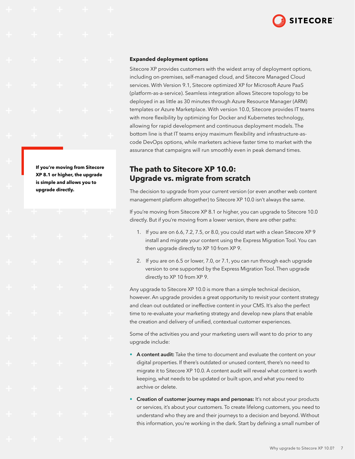

#### <span id="page-6-0"></span>**Expanded deployment options**

Sitecore XP provides customers with the widest array of deployment options, including on-premises, self-managed cloud, and Sitecore Managed Cloud services. With Version 9.1, Sitecore optimized XP for Microsoft Azure PaaS (platform-as-a-service). Seamless integration allows Sitecore topology to be deployed in as little as 30 minutes through Azure Resource Manager (ARM) templates or Azure Marketplace. With version 10.0, Sitecore provides IT teams with more flexibility by optimizing for Docker and Kubernetes technology, allowing for rapid development and continuous deployment models. The bottom line is that IT teams enjoy maximum flexibility and infrastructure-ascode DevOps options, while marketers achieve faster time to market with the assurance that campaigns will run smoothly even in peak demand times.

## **The path to Sitecore XP 10.0: Upgrade vs. migrate from scratch**

The decision to upgrade from your current version (or even another web content management platform altogether) to Sitecore XP 10.0 isn't always the same.

If you're moving from Sitecore XP 8.1 or higher, you can upgrade to Sitecore 10.0 directly. But if you're moving from a lower version, there are other paths:

- 1. If you are on 6.6, 7.2, 7.5, or 8.0, you could start with a clean Sitecore XP 9 install and migrate your content using the Express Migration Tool. You can then upgrade directly to XP 10 from XP 9.
- 2. If you are on 6.5 or lower, 7.0, or 7.1, you can run through each upgrade version to one supported by the Express Migration Tool. Then upgrade directly to XP 10 from XP 9.

Any upgrade to Sitecore XP 10.0 is more than a simple technical decision, however. An upgrade provides a great opportunity to revisit your content strategy and clean out outdated or ineffective content in your CMS. It's also the perfect time to re-evaluate your marketing strategy and develop new plans that enable the creation and delivery of unified, contextual customer experiences.

Some of the activities you and your marketing users will want to do prior to any upgrade include:

- A content audit: Take the time to document and evaluate the content on your digital properties. If there's outdated or unused content, there's no need to migrate it to Sitecore XP 10.0. A content audit will reveal what content is worth keeping, what needs to be updated or built upon, and what you need to archive or delete.
- Creation of customer journey maps and personas: It's not about your products or services, it's about your customers. To create lifelong customers, you need to understand who they are and their journeys to a decision and beyond. Without this information, you're working in the dark. Start by defining a small number of

**If you're moving from Sitecore XP 8.1 or higher, the upgrade is simple and allows you to upgrade directly.**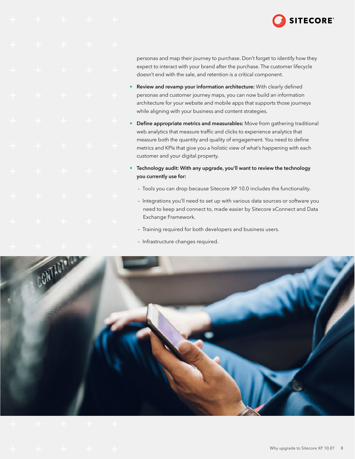

personas and map their journey to purchase. Don't forget to identify how they expect to interact with your brand after the purchase. The customer lifecycle doesn't end with the sale, and retention is a critical component.

- Review and revamp your information architecture: With clearly defined personas and customer journey maps, you can now build an information architecture for your website and mobile apps that supports those journeys while aligning with your business and content strategies.
- Define appropriate metrics and measurables: Move from gathering traditional web analytics that measure traffic and clicks to experience analytics that measure both the quantity and quality of engagement. You need to define metrics and KPIs that give you a holistic view of what's happening with each customer and your digital property.
- Technology audit: With any upgrade, you'll want to review the technology you currently use for:
	- Tools you can drop because Sitecore XP 10.0 includes the functionality.
	- Integrations you'll need to set up with various data sources or software you need to keep and connect to, made easier by Sitecore xConnect and Data Exchange Framework.
	- Training required for both developers and business users.
	- Infrastructure changes required.

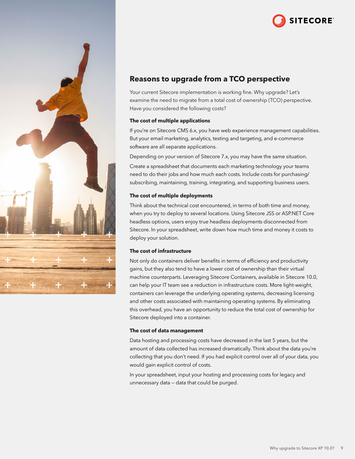

<span id="page-8-0"></span>

## **Reasons to upgrade from a TCO perspective**

Your current Sitecore implementation is working fine. Why upgrade? Let's examine the need to migrate from a total cost of ownership (TCO) perspective. Have you considered the following costs?

#### **The cost of multiple applications**

If you're on Sitecore CMS 6.x, you have web experience management capabilities. But your email marketing, analytics, testing and targeting, and e-commerce software are all separate applications.

Depending on your version of Sitecore 7.x, you may have the same situation.

Create a spreadsheet that documents each marketing technology your teams need to do their jobs and how much each costs. Include costs for purchasing/ subscribing, maintaining, training, integrating, and supporting business users.

#### **The cost of multiple deployments**

Think about the technical cost encountered, in terms of both time and money, when you try to deploy to several locations. Using Sitecore JSS or ASP.NET Core headless options, users enjoy true headless deployments disconnected from Sitecore. In your spreadsheet, write down how much time and money it costs to deploy your solution.

### **The cost of infrastructure**

Not only do containers deliver benefits in terms of efficiency and productivity gains, but they also tend to have a lower cost of ownership than their virtual machine counterparts. Leveraging Sitecore Containers, available in Sitecore 10.0, can help your IT team see a reduction in infrastructure costs. More light-weight, containers can leverage the underlying operating systems, decreasing licensing and other costs associated with maintaining operating systems. By eliminating this overhead, you have an opportunity to reduce the total cost of ownership for Sitecore deployed into a container.

#### **The cost of data management**

Data hosting and processing costs have decreased in the last 5 years, but the amount of data collected has increased dramatically. Think about the data you're collecting that you don't need. If you had explicit control over all of your data, you would gain explicit control of costs.

In your spreadsheet, input your hosting and processing costs for legacy and unnecessary data — data that could be purged.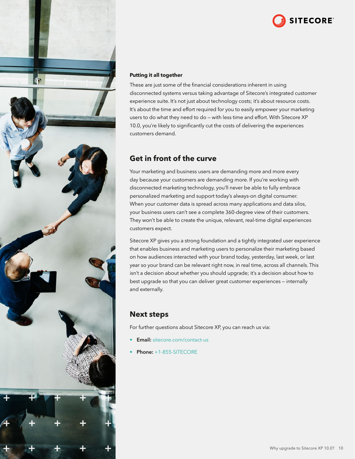

<span id="page-9-0"></span>

### **Putting it all together**

These are just some of the financial considerations inherent in using disconnected systems versus taking advantage of Sitecore's integrated customer experience suite. It's not just about technology costs; it's about resource costs. It's about the time and effort required for you to easily empower your marketing users to do what they need to do — with less time and effort. With Sitecore XP 10.0, you're likely to significantly cut the costs of delivering the experiences customers demand.

## **Get in front of the curve**

Your marketing and business users are demanding more and more every day because your customers are demanding more. If you're working with disconnected marketing technology, you'll never be able to fully embrace personalized marketing and support today's always-on digital consumer. When your customer data is spread across many applications and data silos, your business users can't see a complete 360-degree view of their customers. They won't be able to create the unique, relevant, real-time digital experiences customers expect.

Sitecore XP gives you a strong foundation and a tightly integrated user experience that enables business and marketing users to personalize their marketing based on how audiences interacted with your brand today, yesterday, last week, or last year so your brand can be relevant right now, in real time, across all channels. This isn't a decision about whether you should upgrade; it's a decision about how to best upgrade so that you can deliver great customer experiences — internally and externally.

## **Next steps**

For further questions about Sitecore XP, you can reach us via:

- **Email:** [sitecore.com/contact-us](https://www.sitecore.com/contact-us)
- Phone: +1-855-SITECORE